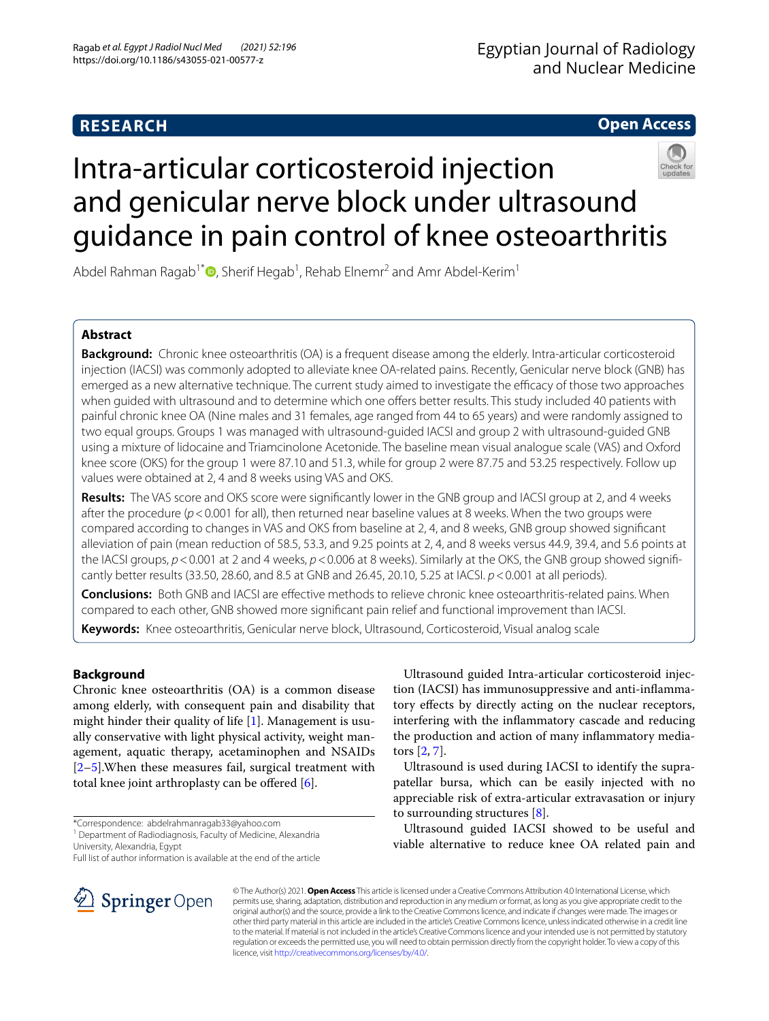# **Open Access**

# Intra-articular corticosteroid injection and genicular nerve block under ultrasound guidance in pain control of knee osteoarthritis

Abdel Rahman Ragab<sup>1[\\*](http://orcid.org/0000-0003-2401-1073)</sup> $\textsf{D}$ , Sherif Hegab<sup>1</sup>, Rehab Elnemr<sup>2</sup> and Amr Abdel-Kerim<sup>1</sup>

# **Abstract**

**Background:** Chronic knee osteoarthritis (OA) is a frequent disease among the elderly. Intra-articular corticosteroid injection (IACSI) was commonly adopted to alleviate knee OA-related pains. Recently, Genicular nerve block (GNB) has emerged as a new alternative technique. The current study aimed to investigate the efficacy of those two approaches when quided with ultrasound and to determine which one offers better results. This study included 40 patients with painful chronic knee OA (Nine males and 31 females, age ranged from 44 to 65 years) and were randomly assigned to two equal groups. Groups 1 was managed with ultrasound-guided IACSI and group 2 with ultrasound-guided GNB using a mixture of lidocaine and Triamcinolone Acetonide. The baseline mean visual analogue scale (VAS) and Oxford knee score (OKS) for the group 1 were 87.10 and 51.3, while for group 2 were 87.75 and 53.25 respectively. Follow up values were obtained at 2, 4 and 8 weeks using VAS and OKS.

**Results:** The VAS score and OKS score were signifcantly lower in the GNB group and IACSI group at 2, and 4 weeks after the procedure (*p*<0.001 for all), then returned near baseline values at 8 weeks. When the two groups were compared according to changes in VAS and OKS from baseline at 2, 4, and 8 weeks, GNB group showed signifcant alleviation of pain (mean reduction of 58.5, 53.3, and 9.25 points at 2, 4, and 8 weeks versus 44.9, 39.4, and 5.6 points at the IACSI groups,  $p < 0.001$  at 2 and 4 weeks,  $p < 0.006$  at 8 weeks). Similarly at the OKS, the GNB group showed significantly better results (33.50, 28.60, and 8.5 at GNB and 26.45, 20.10, 5.25 at IACSI. *p*<0.001 at all periods).

**Conclusions:** Both GNB and IACSI are efective methods to relieve chronic knee osteoarthritis-related pains. When compared to each other, GNB showed more signifcant pain relief and functional improvement than IACSI.

**Keywords:** Knee osteoarthritis, Genicular nerve block, Ultrasound, Corticosteroid, Visual analog scale

# **Background**

Chronic knee osteoarthritis (OA) is a common disease among elderly, with consequent pain and disability that might hinder their quality of life [\[1\]](#page-5-0). Management is usually conservative with light physical activity, weight management, aquatic therapy, acetaminophen and NSAIDs [[2–](#page-5-1)[5\]](#page-5-2).When these measures fail, surgical treatment with total knee joint arthroplasty can be offered  $[6]$  $[6]$ .

\*Correspondence: abdelrahmanragab33@yahoo.com

<sup>1</sup> Department of Radiodiagnosis, Faculty of Medicine, Alexandria University, Alexandria, Egypt

Full list of author information is available at the end of the article



Ultrasound guided Intra-articular corticosteroid injection (IACSI) has immunosuppressive and anti-infammatory efects by directly acting on the nuclear receptors, interfering with the infammatory cascade and reducing the production and action of many infammatory mediators [\[2](#page-5-1), [7](#page-5-4)].

Ultrasound is used during IACSI to identify the suprapatellar bursa, which can be easily injected with no appreciable risk of extra-articular extravasation or injury to surrounding structures [\[8](#page-5-5)].

Ultrasound guided IACSI showed to be useful and viable alternative to reduce knee OA related pain and

© The Author(s) 2021. **Open Access** This article is licensed under a Creative Commons Attribution 4.0 International License, which permits use, sharing, adaptation, distribution and reproduction in any medium or format, as long as you give appropriate credit to the original author(s) and the source, provide a link to the Creative Commons licence, and indicate if changes were made. The images or other third party material in this article are included in the article's Creative Commons licence, unless indicated otherwise in a credit line to the material. If material is not included in the article's Creative Commons licence and your intended use is not permitted by statutory regulation or exceeds the permitted use, you will need to obtain permission directly from the copyright holder. To view a copy of this licence, visit [http://creativecommons.org/licenses/by/4.0/.](http://creativecommons.org/licenses/by/4.0/)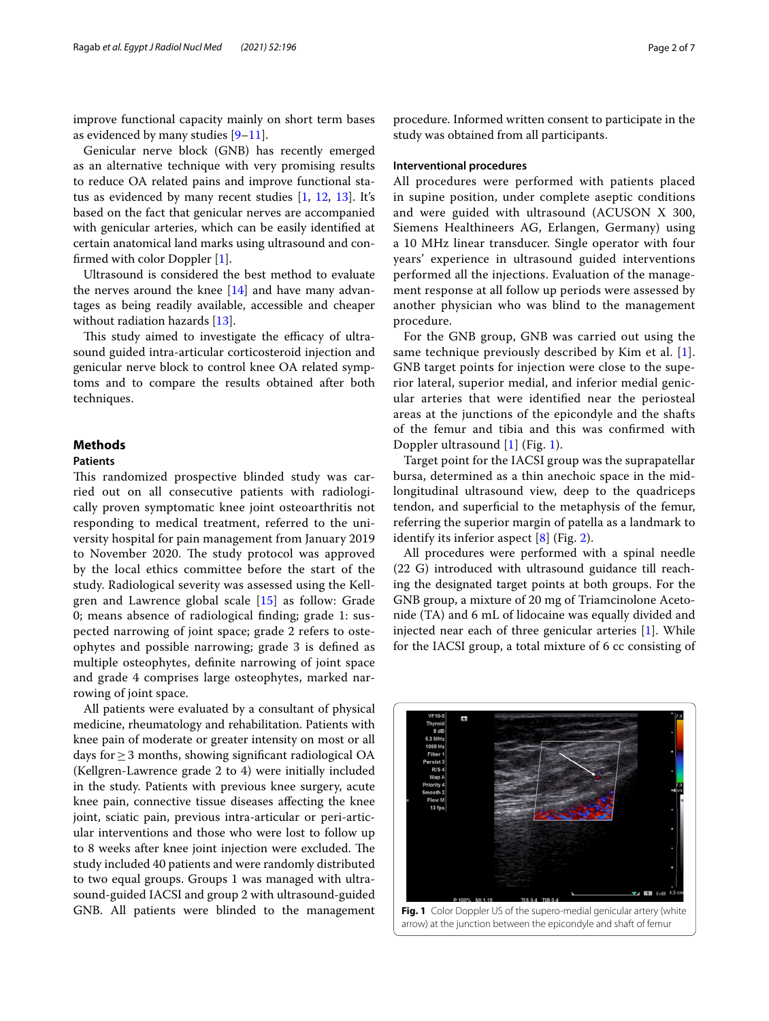improve functional capacity mainly on short term bases as evidenced by many studies  $[9-11]$  $[9-11]$ .

Genicular nerve block (GNB) has recently emerged as an alternative technique with very promising results to reduce OA related pains and improve functional status as evidenced by many recent studies [[1,](#page-5-0) [12](#page-5-8), [13\]](#page-5-9). It's based on the fact that genicular nerves are accompanied with genicular arteries, which can be easily identifed at certain anatomical land marks using ultrasound and confrmed with color Doppler [\[1](#page-5-0)].

Ultrasound is considered the best method to evaluate the nerves around the knee  $[14]$  and have many advantages as being readily available, accessible and cheaper without radiation hazards [[13](#page-5-9)].

This study aimed to investigate the efficacy of ultrasound guided intra-articular corticosteroid injection and genicular nerve block to control knee OA related symptoms and to compare the results obtained after both techniques.

# **Methods**

# **Patients**

This randomized prospective blinded study was carried out on all consecutive patients with radiologically proven symptomatic knee joint osteoarthritis not responding to medical treatment, referred to the university hospital for pain management from January 2019 to November 2020. The study protocol was approved by the local ethics committee before the start of the study. Radiological severity was assessed using the Kellgren and Lawrence global scale [[15\]](#page-5-11) as follow: Grade 0; means absence of radiological fnding; grade 1: suspected narrowing of joint space; grade 2 refers to osteophytes and possible narrowing; grade 3 is defned as multiple osteophytes, defnite narrowing of joint space and grade 4 comprises large osteophytes, marked narrowing of joint space.

All patients were evaluated by a consultant of physical medicine, rheumatology and rehabilitation. Patients with knee pain of moderate or greater intensity on most or all days for≥3 months, showing signifcant radiological OA (Kellgren-Lawrence grade 2 to 4) were initially included in the study. Patients with previous knee surgery, acute knee pain, connective tissue diseases afecting the knee joint, sciatic pain, previous intra-articular or peri-articular interventions and those who were lost to follow up to 8 weeks after knee joint injection were excluded. The study included 40 patients and were randomly distributed to two equal groups. Groups 1 was managed with ultrasound-guided IACSI and group 2 with ultrasound-guided GNB. All patients were blinded to the management

procedure. Informed written consent to participate in the study was obtained from all participants.

## **Interventional procedures**

All procedures were performed with patients placed in supine position, under complete aseptic conditions and were guided with ultrasound (ACUSON X 300, Siemens Healthineers AG, Erlangen, Germany) using a 10 MHz linear transducer. Single operator with four years' experience in ultrasound guided interventions performed all the injections. Evaluation of the management response at all follow up periods were assessed by another physician who was blind to the management procedure.

For the GNB group, GNB was carried out using the same technique previously described by Kim et al. [[1](#page-5-0)]. GNB target points for injection were close to the superior lateral, superior medial, and inferior medial genicular arteries that were identifed near the periosteal areas at the junctions of the epicondyle and the shafts of the femur and tibia and this was confrmed with Doppler ultrasound [[1\]](#page-5-0) (Fig. [1\)](#page-1-0).

Target point for the IACSI group was the suprapatellar bursa, determined as a thin anechoic space in the midlongitudinal ultrasound view, deep to the quadriceps tendon, and superfcial to the metaphysis of the femur, referring the superior margin of patella as a landmark to identify its inferior aspect [[8\]](#page-5-5) (Fig. [2](#page-2-0)).

All procedures were performed with a spinal needle (22 G) introduced with ultrasound guidance till reaching the designated target points at both groups. For the GNB group, a mixture of 20 mg of Triamcinolone Acetonide (TA) and 6 mL of lidocaine was equally divided and injected near each of three genicular arteries [[1\]](#page-5-0). While for the IACSI group, a total mixture of 6 cc consisting of

<span id="page-1-0"></span>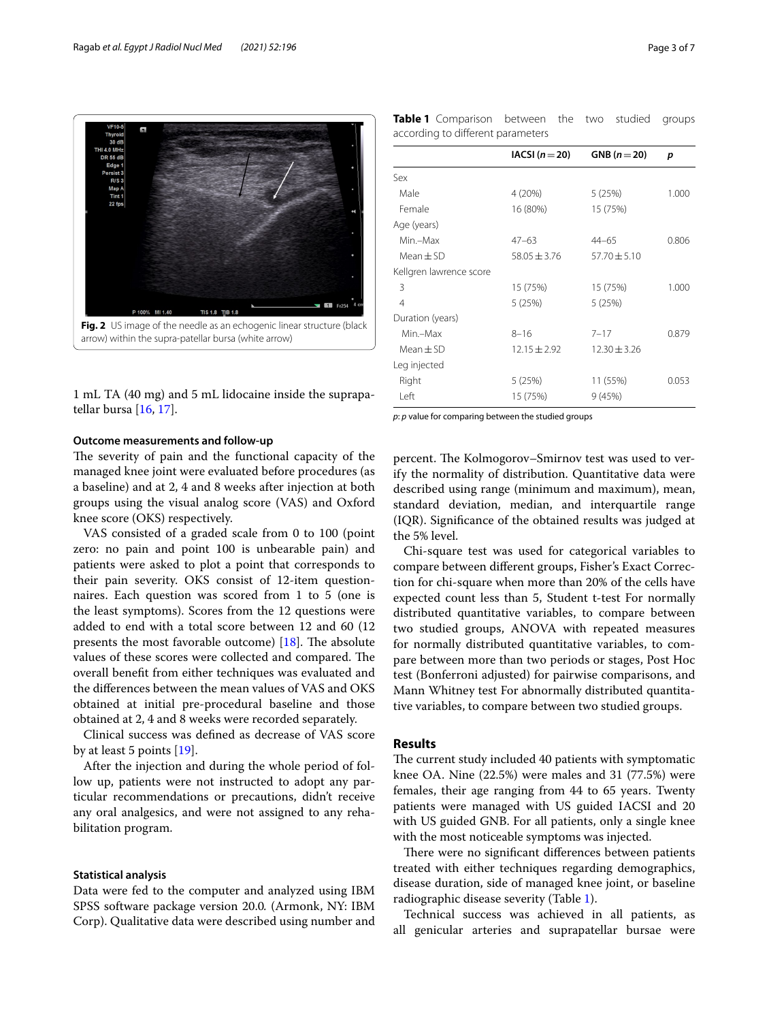

<span id="page-2-0"></span>1 mL TA (40 mg) and 5 mL lidocaine inside the suprapatellar bursa [[16,](#page-5-12) [17](#page-5-13)].

#### **Outcome measurements and follow‑up**

The severity of pain and the functional capacity of the managed knee joint were evaluated before procedures (as a baseline) and at 2, 4 and 8 weeks after injection at both groups using the visual analog score (VAS) and Oxford knee score (OKS) respectively.

VAS consisted of a graded scale from 0 to 100 (point zero: no pain and point 100 is unbearable pain) and patients were asked to plot a point that corresponds to their pain severity. OKS consist of 12-item questionnaires. Each question was scored from 1 to 5 (one is the least symptoms). Scores from the 12 questions were added to end with a total score between 12 and 60 (12 presents the most favorable outcome)  $[18]$  $[18]$  $[18]$ . The absolute values of these scores were collected and compared. The overall beneft from either techniques was evaluated and the diferences between the mean values of VAS and OKS obtained at initial pre-procedural baseline and those obtained at 2, 4 and 8 weeks were recorded separately.

Clinical success was defned as decrease of VAS score by at least 5 points [\[19\]](#page-5-15).

After the injection and during the whole period of follow up, patients were not instructed to adopt any particular recommendations or precautions, didn't receive any oral analgesics, and were not assigned to any rehabilitation program.

## **Statistical analysis**

Data were fed to the computer and analyzed using IBM SPSS software package version 20.0*.* (Armonk, NY: IBM Corp). Qualitative data were described using number and

<span id="page-2-1"></span>**Table 1** Comparison between the two studied groups according to diferent parameters

|                         | $IACSI (n=20)$   | GNB $(n=20)$     | p     |
|-------------------------|------------------|------------------|-------|
|                         |                  |                  |       |
| Sex                     |                  |                  |       |
| Male                    | 4 (20%)          | 5(25%)           | 1.000 |
| Female                  | 16 (80%)         | 15 (75%)         |       |
| Age (years)             |                  |                  |       |
| Min.-Max                | $47 - 63$        | $44 - 65$        | 0.806 |
| $Mean \pm SD$           | $58.05 \pm 3.76$ | $57.70 \pm 5.10$ |       |
| Kellgren lawrence score |                  |                  |       |
| 3                       | 15 (75%)         | 15 (75%)         | 1.000 |
| $\overline{4}$          | 5 (25%)          | 5(25%)           |       |
| Duration (years)        |                  |                  |       |
| Min.-Max                | $8 - 16$         | $7 - 17$         | 0.879 |
| $Mean + SD$             | $12.15 \pm 2.92$ | $12.30 \pm 3.26$ |       |
| Leg injected            |                  |                  |       |
| Right                   | 5 (25%)          | 11 (55%)         | 0.053 |
| Left                    | 15 (75%)         | 9(45%)           |       |

*p*: *p* value for comparing between the studied groups

percent. The Kolmogorov–Smirnov test was used to verify the normality of distribution. Quantitative data were described using range (minimum and maximum), mean, standard deviation, median, and interquartile range (IQR). Signifcance of the obtained results was judged at the 5% level.

Chi-square test was used for categorical variables to compare between diferent groups, Fisher's Exact Correction for chi-square when more than 20% of the cells have expected count less than 5, Student t-test For normally distributed quantitative variables, to compare between two studied groups, ANOVA with repeated measures for normally distributed quantitative variables, to compare between more than two periods or stages, Post Hoc test (Bonferroni adjusted) for pairwise comparisons, and Mann Whitney test For abnormally distributed quantitative variables, to compare between two studied groups.

# **Results**

The current study included 40 patients with symptomatic knee OA. Nine (22.5%) were males and 31 (77.5%) were females, their age ranging from 44 to 65 years. Twenty patients were managed with US guided IACSI and 20 with US guided GNB. For all patients, only a single knee with the most noticeable symptoms was injected.

There were no significant differences between patients treated with either techniques regarding demographics, disease duration, side of managed knee joint, or baseline radiographic disease severity (Table [1](#page-2-1)).

Technical success was achieved in all patients, as all genicular arteries and suprapatellar bursae were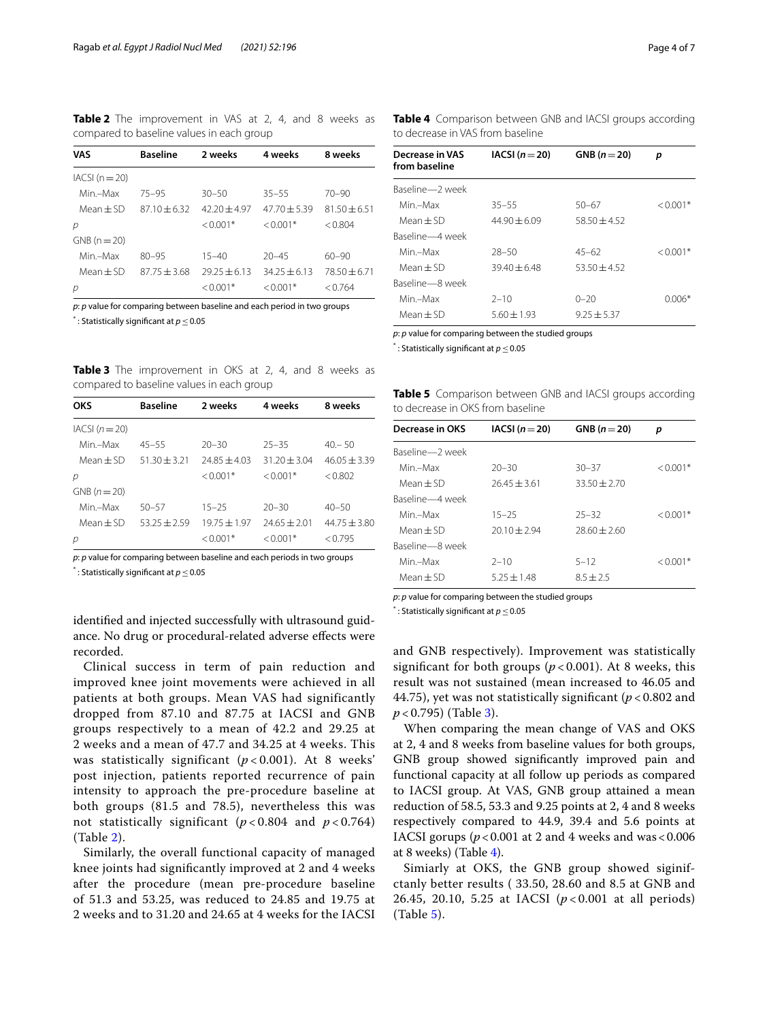<span id="page-3-0"></span>**Table 2** The improvement in VAS at 2, 4, and 8 weeks as compared to baseline values in each group

| VAS              | <b>Baseline</b> | 2 weeks      | 4 weeks      | 8 weeks        |
|------------------|-----------------|--------------|--------------|----------------|
| $IACSI (n = 20)$ |                 |              |              |                |
| Min-Max          | $75 - 95$       | $30 - 50$    | $35 - 55$    | $70 - 90$      |
| Mean + SD        | $8710 + 632$    | $4220+497$   | $4770 + 539$ | $8150 + 651$   |
| p                |                 | $< 0.001*$   | $< 0.001*$   | < 0.804        |
| $GNB (n = 20)$   |                 |              |              |                |
| Min-Max          | $80 - 95$       | $15 - 40$    | $20 - 45$    | $60 - 90$      |
| $Mean + SD$      | $8775 + 368$    | $7975 + 613$ | $3425 + 613$ | $78.50 + 6.71$ |
| р                |                 | $< 0.001*$   | $< 0.001*$   | < 0.764        |

*p*: *p* value for comparing between baseline and each period in two groups \* : Statistically signifcant at *p*≤0.05

<span id="page-3-1"></span>**Table 3** The improvement in OKS at 2, 4, and 8 weeks as compared to baseline values in each group

| OKS              | <b>Baseline</b> | 2 weeks        | 4 weeks          | 8 weeks        |
|------------------|-----------------|----------------|------------------|----------------|
| $IACSI (n = 20)$ |                 |                |                  |                |
| Min –Max         | $45 - 55$       | $20 - 30$      | $25 - 35$        | $40 - 50$      |
| Mean + SD        | $51.30 + 3.21$  | $7485 + 403$   | $31.20 \pm 3.04$ | $46.05 + 3.39$ |
| р                |                 | $< 0.001*$     | $< 0.001*$       | < 0.802        |
| $GNB (n = 20)$   |                 |                |                  |                |
| Min-Max          | $50 - 57$       | $15 - 25$      | $20 - 30$        | $40 - 50$      |
| $Mean + SD$      | $53.25 + 2.59$  | $19.75 + 1.97$ | $74.65 \pm 2.01$ | $44.75 + 3.80$ |
| р                |                 | $< 0.001*$     | $< 0.001*$       | < 0.795        |

*p*: *p* value for comparing between baseline and each periods in two groups

\* : Statistically signifcant at *p*≤0.05

identifed and injected successfully with ultrasound guidance. No drug or procedural-related adverse efects were recorded.

Clinical success in term of pain reduction and improved knee joint movements were achieved in all patients at both groups. Mean VAS had significantly dropped from 87.10 and 87.75 at IACSI and GNB groups respectively to a mean of 42.2 and 29.25 at 2 weeks and a mean of 47.7 and 34.25 at 4 weeks. This was statistically significant (*p* < 0.001). At 8 weeks' post injection, patients reported recurrence of pain intensity to approach the pre-procedure baseline at both groups (81.5 and 78.5), nevertheless this was not statistically significant  $(p < 0.804$  and  $p < 0.764$ ) (Table [2](#page-3-0)).

Similarly, the overall functional capacity of managed knee joints had signifcantly improved at 2 and 4 weeks after the procedure (mean pre-procedure baseline of 51.3 and 53.25, was reduced to 24.85 and 19.75 at 2 weeks and to 31.20 and 24.65 at 4 weeks for the IACSI <span id="page-3-2"></span>**Table 4** Comparison between GNB and IACSI groups according to decrease in VAS from baseline

| Decrease in VAS<br>from baseline | $IACSI (n=20)$  | GNB $(n=20)$   | р             |
|----------------------------------|-----------------|----------------|---------------|
| Baseline-2 week                  |                 |                |               |
| Min –Max                         | $35 - 55$       | $50 - 67$      | $\leq 0.001*$ |
| Mean $+$ SD                      | $44.90 + 6.09$  | $58.50 + 4.52$ |               |
| Baseline-4 week                  |                 |                |               |
| Min –Max                         | $28 - 50$       | $45 - 62$      | $\leq 0.001*$ |
| Mean $+$ SD                      | $39.40 + 6.48$  | $53.50 + 4.52$ |               |
| Baseline-8 week                  |                 |                |               |
| Min –Max                         | $2 - 10$        | $0 - 20$       | $0.006*$      |
| $Mean + SD$                      | $5.60 \pm 1.93$ | $9.25 + 5.37$  |               |

*p*: *p* value for comparing between the studied groups

\* : Statistically signifcant at *p*≤0.05

<span id="page-3-3"></span>**Table 5** Comparison between GNB and IACSI groups according to decrease in OKS from baseline

| Decrease in OKS | $IACSI (n=20)$ | GNB $(n=20)$   | р             |
|-----------------|----------------|----------------|---------------|
| Baseline-2 week |                |                |               |
| Min –Max        | $20 - 30$      | $30 - 37$      | $< 0.001*$    |
| Mean $+$ SD     | $76.45 + 3.61$ | $33.50 + 2.70$ |               |
| Baseline-4 week |                |                |               |
| Min-Max         | $15 - 25$      | $25 - 32$      | $< 0.001*$    |
| $Mean + SD$     | $20.10 + 2.94$ | $78.60 + 7.60$ |               |
| Baseline-8 week |                |                |               |
| Min-Max         | $2 - 10$       | $5 - 12$       | $\leq$ 0.001* |
| Mean $\pm$ SD   | $525 + 148$    | $8.5 + 2.5$    |               |
|                 |                |                |               |

*p*: *p* value for comparing between the studied groups

\* : Statistically signifcant at *p*≤0.05

and GNB respectively). Improvement was statistically significant for both groups  $(p < 0.001)$ . At 8 weeks, this result was not sustained (mean increased to 46.05 and 44.75), yet was not statistically significant ( $p < 0.802$  and *p* < 0.795) (Table [3\)](#page-3-1).

When comparing the mean change of VAS and OKS at 2, 4 and 8 weeks from baseline values for both groups, GNB group showed signifcantly improved pain and functional capacity at all follow up periods as compared to IACSI group. At VAS, GNB group attained a mean reduction of 58.5, 53.3 and 9.25 points at 2, 4 and 8 weeks respectively compared to 44.9, 39.4 and 5.6 points at IACSI gorups  $(p < 0.001$  at 2 and 4 weeks and was  $< 0.006$ at 8 weeks) (Table [4\)](#page-3-2).

Simiarly at OKS, the GNB group showed siginifctanly better results ( 33.50, 28.60 and 8.5 at GNB and 26.45, 20.10, 5.25 at IACSI (*p* < 0.001 at all periods) (Table [5](#page-3-3)).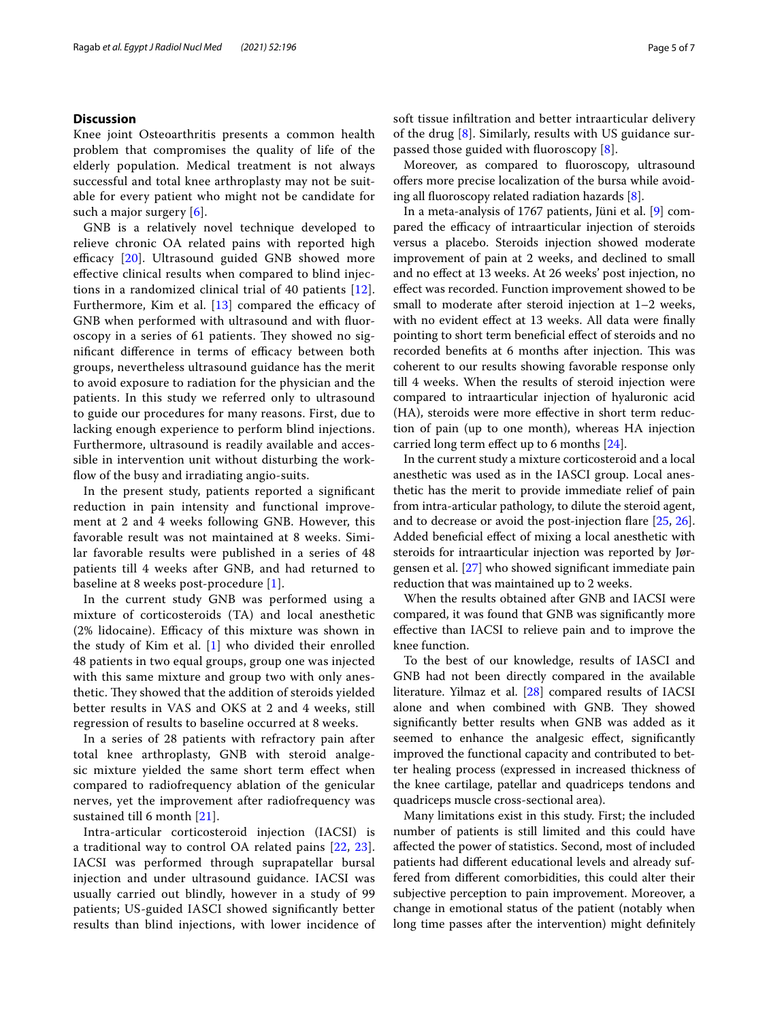## **Discussion**

Knee joint Osteoarthritis presents a common health problem that compromises the quality of life of the elderly population. Medical treatment is not always successful and total knee arthroplasty may not be suitable for every patient who might not be candidate for such a major surgery [[6](#page-5-3)].

GNB is a relatively novel technique developed to relieve chronic OA related pains with reported high efficacy  $[20]$  $[20]$ . Ultrasound guided GNB showed more efective clinical results when compared to blind injections in a randomized clinical trial of 40 patients [[12\]](#page-5-8). Furthermore, Kim et al.  $[13]$  $[13]$  compared the efficacy of GNB when performed with ultrasound and with fuoroscopy in a series of 61 patients. They showed no significant difference in terms of efficacy between both groups, nevertheless ultrasound guidance has the merit to avoid exposure to radiation for the physician and the patients. In this study we referred only to ultrasound to guide our procedures for many reasons. First, due to lacking enough experience to perform blind injections. Furthermore, ultrasound is readily available and accessible in intervention unit without disturbing the workflow of the busy and irradiating angio-suits.

In the present study, patients reported a signifcant reduction in pain intensity and functional improvement at 2 and 4 weeks following GNB. However, this favorable result was not maintained at 8 weeks. Similar favorable results were published in a series of 48 patients till 4 weeks after GNB, and had returned to baseline at 8 weeks post-procedure [[1\]](#page-5-0).

In the current study GNB was performed using a mixture of corticosteroids (TA) and local anesthetic  $(2\%$  lidocaine). Efficacy of this mixture was shown in the study of Kim et al. [[1](#page-5-0)] who divided their enrolled 48 patients in two equal groups, group one was injected with this same mixture and group two with only anesthetic. They showed that the addition of steroids yielded better results in VAS and OKS at 2 and 4 weeks, still regression of results to baseline occurred at 8 weeks.

In a series of 28 patients with refractory pain after total knee arthroplasty, GNB with steroid analgesic mixture yielded the same short term efect when compared to radiofrequency ablation of the genicular nerves, yet the improvement after radiofrequency was sustained till 6 month [\[21](#page-5-17)].

Intra-articular corticosteroid injection (IACSI) is a traditional way to control OA related pains [[22,](#page-6-0) [23\]](#page-6-1). IACSI was performed through suprapatellar bursal injection and under ultrasound guidance. IACSI was usually carried out blindly, however in a study of 99 patients; US-guided IASCI showed signifcantly better results than blind injections, with lower incidence of soft tissue infltration and better intraarticular delivery of the drug [[8\]](#page-5-5). Similarly, results with US guidance surpassed those guided with fuoroscopy [\[8](#page-5-5)].

Moreover, as compared to fuoroscopy, ultrasound offers more precise localization of the bursa while avoiding all fuoroscopy related radiation hazards [[8\]](#page-5-5).

In a meta-analysis of 1767 patients, Jüni et al. [\[9](#page-5-6)] compared the efficacy of intraarticular injection of steroids versus a placebo. Steroids injection showed moderate improvement of pain at 2 weeks, and declined to small and no efect at 13 weeks. At 26 weeks' post injection, no efect was recorded. Function improvement showed to be small to moderate after steroid injection at 1–2 weeks, with no evident effect at 13 weeks. All data were finally pointing to short term benefcial efect of steroids and no recorded benefits at 6 months after injection. This was coherent to our results showing favorable response only till 4 weeks. When the results of steroid injection were compared to intraarticular injection of hyaluronic acid (HA), steroids were more efective in short term reduction of pain (up to one month), whereas HA injection carried long term efect up to 6 months [\[24](#page-6-2)].

In the current study a mixture corticosteroid and a local anesthetic was used as in the IASCI group. Local anesthetic has the merit to provide immediate relief of pain from intra-articular pathology, to dilute the steroid agent, and to decrease or avoid the post-injection fare [\[25](#page-6-3), [26](#page-6-4)]. Added benefcial efect of mixing a local anesthetic with steroids for intraarticular injection was reported by Jørgensen et al. [[27\]](#page-6-5) who showed signifcant immediate pain reduction that was maintained up to 2 weeks.

When the results obtained after GNB and IACSI were compared, it was found that GNB was signifcantly more efective than IACSI to relieve pain and to improve the knee function.

To the best of our knowledge, results of IASCI and GNB had not been directly compared in the available literature. Yilmaz et al. [\[28](#page-6-6)] compared results of IACSI alone and when combined with GNB. They showed signifcantly better results when GNB was added as it seemed to enhance the analgesic effect, significantly improved the functional capacity and contributed to better healing process (expressed in increased thickness of the knee cartilage, patellar and quadriceps tendons and quadriceps muscle cross-sectional area).

Many limitations exist in this study. First; the included number of patients is still limited and this could have afected the power of statistics. Second, most of included patients had diferent educational levels and already suffered from diferent comorbidities, this could alter their subjective perception to pain improvement. Moreover, a change in emotional status of the patient (notably when long time passes after the intervention) might defnitely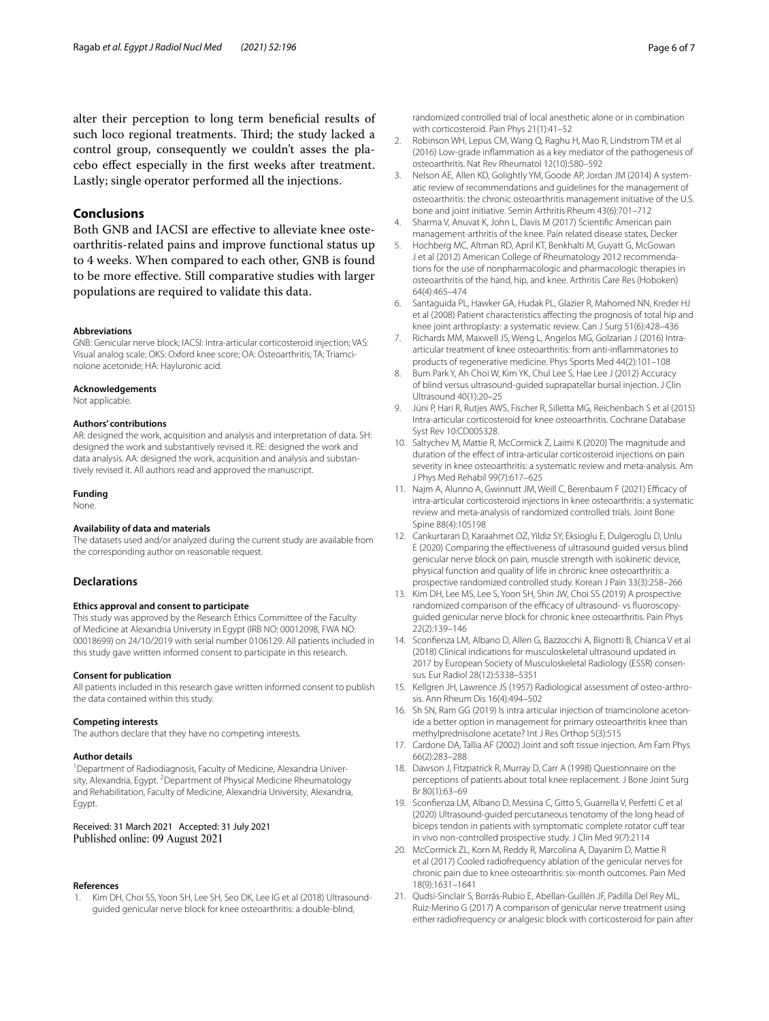alter their perception to long term benefcial results of such loco regional treatments. Third; the study lacked a control group, consequently we couldn't asses the placebo efect especially in the frst weeks after treatment. Lastly; single operator performed all the injections.

# **Conclusions**

Both GNB and IACSI are efective to alleviate knee osteoarthritis-related pains and improve functional status up to 4 weeks. When compared to each other, GNB is found to be more efective. Still comparative studies with larger populations are required to validate this data.

#### **Abbreviations**

GNB: Genicular nerve block; IACSI: Intra-articular corticosteroid injection; VAS: Visual analog scale; OKS: Oxford knee score; OA: Osteoarthritis; TA: Triamcinolone acetonide; HA: Hayluronic acid.

#### **Acknowledgements**

Not applicable.

#### **Authors' contributions**

AR: designed the work, acquisition and analysis and interpretation of data. SH: designed the work and substantively revised it. RE: designed the work and data analysis. AA: designed the work, acquisition and analysis and substantively revised it. All authors read and approved the manuscript.

#### **Funding**

None.

## **Availability of data and materials**

The datasets used and/or analyzed during the current study are available from the corresponding author on reasonable request.

### **Declarations**

#### **Ethics approval and consent to participate**

This study was approved by the Research Ethics Committee of the Faculty of Medicine at Alexandria University in Egypt (IRB NO: 00012098, FWA NO: 00018699) on 24/10/2019 with serial number 0106129. All patients included in this study gave written informed consent to participate in this research.

#### **Consent for publication**

All patients included in this research gave written informed consent to publish the data contained within this study.

#### **Competing interests**

The authors declare that they have no competing interests.

#### **Author details**

<sup>1</sup> Department of Radiodiagnosis, Faculty of Medicine, Alexandria University, Alexandria, Egypt. <sup>2</sup> Department of Physical Medicine Rheumatology and Rehabilitation, Faculty of Medicine, Alexandria University, Alexandria, Egypt.

Received: 31 March 2021 Accepted: 31 July 2021 Published online: 09 August 2021

#### **References**

<span id="page-5-0"></span>Kim DH, Choi SS, Yoon SH, Lee SH, Seo DK, Lee IG et al (2018) Ultrasoundguided genicular nerve block for knee osteoarthritis: a double-blind,

- <span id="page-5-1"></span>2. Robinson WH, Lepus CM, Wang Q, Raghu H, Mao R, Lindstrom TM et al (2016) Low-grade infammation as a key mediator of the pathogenesis of osteoarthritis. Nat Rev Rheumatol 12(10):580–592
- 3. Nelson AE, Allen KD, Golightly YM, Goode AP, Jordan JM (2014) A systematic review of recommendations and guidelines for the management of osteoarthritis: the chronic osteoarthritis management initiative of the U.S. bone and joint initiative. Semin Arthritis Rheum 43(6):701–712
- 4. Sharma V, Anuvat K, John L, Davis M (2017) Scientifc American pain management-arthritis of the knee. Pain related disease states, Decker
- <span id="page-5-2"></span>5. Hochberg MC, Altman RD, April KT, Benkhalti M, Guyatt G, McGowan J et al (2012) American College of Rheumatology 2012 recommendations for the use of nonpharmacologic and pharmacologic therapies in osteoarthritis of the hand, hip, and knee. Arthritis Care Res (Hoboken) 64(4):465–474
- <span id="page-5-3"></span>6. Santaguida PL, Hawker GA, Hudak PL, Glazier R, Mahomed NN, Kreder HJ et al (2008) Patient characteristics afecting the prognosis of total hip and knee joint arthroplasty: a systematic review. Can J Surg 51(6):428–436
- <span id="page-5-4"></span>7. Richards MM, Maxwell JS, Weng L, Angelos MG, Golzarian J (2016) Intraarticular treatment of knee osteoarthritis: from anti-infammatories to products of regenerative medicine. Phys Sports Med 44(2):101–108
- <span id="page-5-5"></span>8. Bum Park Y, Ah Choi W, Kim YK, Chul Lee S, Hae Lee J (2012) Accuracy of blind versus ultrasound-guided suprapatellar bursal injection. J Clin Ultrasound 40(1):20–25
- <span id="page-5-6"></span>9. Jüni P, Hari R, Rutjes AWS, Fischer R, Silletta MG, Reichenbach S et al (2015) Intra-articular corticosteroid for knee osteoarthritis. Cochrane Database Syst Rev 10:CD005328.
- 10. Saltychev M, Mattie R, McCormick Z, Laimi K (2020) The magnitude and duration of the effect of intra-articular corticosteroid injections on pain severity in knee osteoarthritis: a systematic review and meta-analysis. Am J Phys Med Rehabil 99(7):617–625
- <span id="page-5-7"></span>11. Najm A, Alunno A, Gwinnutt JM, Weill C, Berenbaum F (2021) Efficacy of intra-articular corticosteroid injections in knee osteoarthritis: a systematic review and meta-analysis of randomized controlled trials. Joint Bone Spine 88(4):105198
- <span id="page-5-8"></span>12. Cankurtaran D, Karaahmet OZ, Yildiz SY, Eksioglu E, Dulgeroglu D, Unlu E (2020) Comparing the efectiveness of ultrasound guided versus blind genicular nerve block on pain, muscle strength with isokinetic device, physical function and quality of life in chronic knee osteoarthritis: a prospective randomized controlled study. Korean J Pain 33(3):258–266
- <span id="page-5-9"></span>13. Kim DH, Lee MS, Lee S, Yoon SH, Shin JW, Choi SS (2019) A prospective randomized comparison of the efficacy of ultrasound- vs fluoroscopyguided genicular nerve block for chronic knee osteoarthritis. Pain Phys 22(2):139–146
- <span id="page-5-10"></span>14. Sconfenza LM, Albano D, Allen G, Bazzocchi A, Bignotti B, Chianca V et al (2018) Clinical indications for musculoskeletal ultrasound updated in 2017 by European Society of Musculoskeletal Radiology (ESSR) consensus. Eur Radiol 28(12):5338–5351
- <span id="page-5-11"></span>15. Kellgren JH, Lawrence JS (1957) Radiological assessment of osteo-arthrosis. Ann Rheum Dis 16(4):494–502
- <span id="page-5-12"></span>16. Sh SN, Ram GG (2019) Is intra articular injection of triamcinolone acetonide a better option in management for primary osteoarthritis knee than methylprednisolone acetate? Int J Res Orthop 5(3):515
- <span id="page-5-13"></span>17. Cardone DA, Tallia AF (2002) Joint and soft tissue injection. Am Fam Phys 66(2):283–288
- <span id="page-5-14"></span>18. Dawson J, Fitzpatrick R, Murray D, Carr A (1998) Questionnaire on the perceptions of patients about total knee replacement. J Bone Joint Surg Br 80(1):63–69
- <span id="page-5-15"></span>19. Sconfenza LM, Albano D, Messina C, Gitto S, Guarrella V, Perfetti C et al (2020) Ultrasound-guided percutaneous tenotomy of the long head of biceps tendon in patients with symptomatic complete rotator cuff tear in vivo non-controlled prospective study. J Clin Med 9(7):2114
- <span id="page-5-16"></span>20. McCormick ZL, Korn M, Reddy R, Marcolina A, Dayanim D, Mattie R et al (2017) Cooled radiofrequency ablation of the genicular nerves for chronic pain due to knee osteoarthritis: six-month outcomes. Pain Med 18(9):1631–1641
- <span id="page-5-17"></span>21. Qudsi-Sinclair S, Borrás-Rubio E, Abellan-Guillén JF, Padilla Del Rey ML, Ruiz-Merino G (2017) A comparison of genicular nerve treatment using either radiofrequency or analgesic block with corticosteroid for pain after